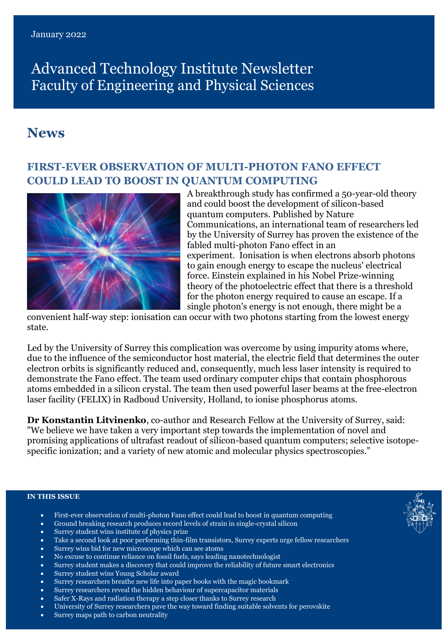# Advanced Technology Institute Newsletter Faculty of Engineering and Physical Sciences

# **News**

# **FIRST-EVER OBSERVATION OF MULTI-PHOTON FANO EFFECT COULD LEAD TO BOOST IN QUANTUM COMPUTING**



A breakthrough study has confirmed a 50-year-old theory and could boost the development of silicon-based quantum computers. Published by [Nature](https://www.nature.com/articles/s41467-020-20534-0)  [Communications,](https://www.nature.com/articles/s41467-020-20534-0) an international team of researchers led by the University of Surrey has proven the existence of the fabled multi-photon Fano effect in an experiment. Ionisation is when electrons absorb photons to gain enough energy to escape the nucleus' electrical force. Einstein explained in his Nobel Prize-winning theory of the photoelectric effect that there is a threshold for the photon energy required to cause an escape. If a single photon's energy is not enough, there might be a

convenient half-way step: ionisation can occur with two photons starting from the lowest energy state.

Led by the University of Surrey this complication was overcome by using impurity atoms where, due to the influence of the semiconductor host material, the electric field that determines the outer electron orbits is significantly reduced and, consequently, much less laser intensity is required to demonstrate the Fano effect. The team used ordinary computer chips that contain phosphorous atoms embedded in a silicon crystal. The team then used powerful laser beams at the free-electron laser facility (FELIX) in Radboud University, Holland, to ionise phosphorus atoms.

**Dr Konstantin Litvinenko**, co-author and Research Fellow at the University of Surrey, said: "We believe we have taken a very important step towards the implementation of novel and promising applications of ultrafast readout of silicon-based quantum computers; selective isotopespecific ionization; and a variety of new atomic and molecular physics spectroscopies."

#### **IN THIS ISSUE**

- First-ever observation of multi-photon Fano effect could lead to boost in quantum computing
- Ground breaking research produces record levels of strain in single-crystal silicon
- Surrey student wins institute of physics prize
- Take a second look at poor performing thin-film transistors, Surrey experts urge fellow researchers
- Surrey wins bid for new microscope which can see atoms
- No excuse to continue reliance on fossil fuels, says leading nanotechnologist
- Surrey student makes a discovery that could improve the reliability of future smart electronics
- Surrey student wins Young Scholar award
- Surrey researchers breathe new life into paper books with the magic bookmark
- Surrey researchers reveal the hidden behaviour of supercapacitor materials
- Safer X-Rays and radiation therapy a step closer thanks to Surrey research
- University of Surrey researchers pave the way toward finding suitable solvents for perovskite
- Surrey maps path to carbon neutrality

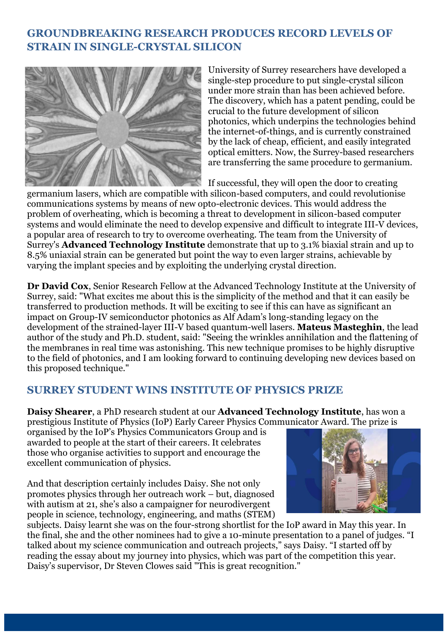# **GROUNDBREAKING RESEARCH PRODUCES RECORD LEVELS OF STRAIN IN SINGLE-CRYSTAL SILICON**



University of Surrey researchers have developed a single-step procedure to put single-crystal silicon under more strain than has been achieved before. The discovery, which has a patent pending, could be crucial to the future development of silicon photonics, which underpins the technologies behind the internet-of-things, and is currently constrained by the lack of cheap, efficient, and easily integrated optical emitters. Now, the Surrey-based researchers are transferring the same procedure to germanium.

If successful, they will open the door to creating

germanium lasers, which are compatible with silicon-based computers, and could revolutionise communications systems by means of new opto-electronic devices. This would address the problem of overheating, which is becoming a threat to development in silicon-based computer systems and would eliminate the need to develop expensive and difficult to integrate III-V devices, a popular area of research to try to overcome overheating. The team from the University of Surrey's **[Advanced Technology Institute](https://www.surrey.ac.uk/advanced-technology-institute)** demonstrate that up to 3.1% biaxial strain and up to 8.5% uniaxial strain can be generated but point the way to even larger strains, achievable by varying the implant species and by exploiting the underlying crystal direction.

**[Dr David Cox](https://www.surrey.ac.uk/people/david-cox)**, Senior Research Fellow at the Advanced Technology Institute at the University of Surrey, said: "What excites me about this is the simplicity of the method and that it can easily be transferred to production methods. It will be exciting to see if this can have as significant an impact on Group-IV semiconductor photonics as Alf Adam's long-standing legacy on the development of the strained-layer III-V based quantum-well lasers. **Mateus Masteghin**, the lead author of the study and Ph.D. student, said: "Seeing the wrinkles annihilation and the flattening of the membranes in real time was astonishing. This new technique promises to be highly disruptive to the field of photonics, and I am looking forward to continuing developing new devices based on this proposed technique."

# **SURREY STUDENT WINS INSTITUTE OF PHYSICS PRIZE**

**Daisy Shearer**, a PhD research student at our **[Advanced Technology Institute](https://www.surrey.ac.uk/advanced-technology-institute)**, has won a prestigious [Institute of Physics](https://www.iop.org/) (IoP) Early Career Physics Communicator Award. The prize is

organised by the IoP's [Physics Communicators Group](https://www.iop.org/physics-community/special-interest-groups/physics-communicators-group) and is awarded to people at the start of their careers. It celebrates those who organise activities to support and encourage the excellent communication of physics.

And that description certainly includes Daisy. She not only promotes physics through her outreach work – but, diagnosed with autism at 21, she's also a campaigner for neurodivergent people in science, technology, engineering, and maths (STEM)



subjects. Daisy learnt she was on the four-strong shortlist for the IoP award in May this year. In the final, she and the other nominees had to give a 10-minute presentation to a panel of judges. "I talked about my science communication and outreach projects," says Daisy. "I started off by reading the essay about my journey into physics, which was part of the competition this year. Daisy's supervisor, Dr Steven Clowes said "This is great recognition."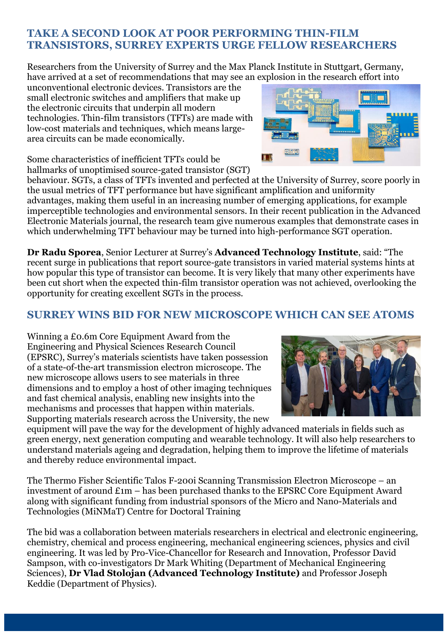# **TAKE A SECOND LOOK AT POOR PERFORMING THIN-FILM TRANSISTORS, SURREY EXPERTS URGE FELLOW RESEARCHERS**

Researchers from the University of Surrey and the Max Planck Institute in Stuttgart, Germany, have arrived at a set of recommendations that may see an explosion in the research effort into

unconventional electronic devices. Transistors are the small electronic switches and amplifiers that make up the electronic circuits that underpin all modern technologies. Thin-film transistors (TFTs) are made with low-cost materials and techniques, which means largearea circuits can be made economically.

Some characteristics of inefficient TFTs could be hallmarks of unoptimised source-gated transistor (SGT)

behaviour. SGTs, a class of TFTs invented and perfected at the University of Surrey, score poorly in the usual metrics of TFT performance but have significant amplification and uniformity advantages, making them useful in an increasing number of emerging applications, for example imperceptible technologies and environmental sensors. In their recent publication in the [Advanced](https://onlinelibrary.wiley.com/doi/full/10.1002/aelm.202101101)  [Electronic Materials](https://onlinelibrary.wiley.com/doi/full/10.1002/aelm.202101101) journal, the research team give numerous examples that demonstrate cases in which underwhelming TFT behaviour may be turned into high-performance SGT operation.

**[Dr Radu Sporea](https://www.surrey.ac.uk/people/radu-sporea)**, Senior Lecturer at Surrey's **[Advanced Technology Institute](https://www.surrey.ac.uk/advanced-technology-institute)**, said: "The recent surge in publications that report source-gate transistors in varied material systems hints at how popular this type of transistor can become. It is very likely that many other experiments have been cut short when the expected thin-film transistor operation was not achieved, overlooking the opportunity for creating excellent SGTs in the process.

# **SURREY WINS BID FOR NEW MICROSCOPE WHICH CAN SEE ATOMS**

Winning a £0.6m Core Equipment Award from the Engineering and Physical Sciences Research Council (EPSRC), Surrey's materials scientists have taken possession of a state-of-the-art transmission electron microscope. The new microscope allows users to see materials in three dimensions and to employ a host of other imaging techniques and fast chemical analysis, enabling new insights into the mechanisms and processes that happen within materials. Supporting materials research across the University, the new

equipment will pave the way for the development of highly advanced materials in fields such as green energy, next generation computing and wearable technology. It will also help researchers to understand materials ageing and degradation, helping them to improve the lifetime of materials and thereby reduce environmental impact.

The Thermo Fisher Scientific Talos F-200i Scanning Transmission Electron Microscope – an investment of around £1m – has been purchased thanks to the EPSRC Core Equipment Award along with significant funding from industrial sponsors of the [Micro and Nano-Materials and](https://www.surrey.ac.uk/minmat)  [Technologies \(MiNMaT\) Centre for Doctoral Training](https://www.surrey.ac.uk/minmat)

The bid was a collaboration between materials researchers in electrical and electronic engineering, chemistry, chemical and process engineering, mechanical engineering sciences, physics and civil engineering. It was led by Pro-Vice-Chancellor for Research and Innovation, [Professor David](https://www.surrey.ac.uk/people/david-sampson)  [Sampson,](https://www.surrey.ac.uk/people/david-sampson) with co-investigators [Dr Mark Whiting](https://www.surrey.ac.uk/people/mark-j-whiting) (Department of Mechanical Engineering Sciences), **[Dr Vlad Stolojan](https://www.surrey.ac.uk/people/vlad-stolojan) (Advanced Technology Institute)** and [Professor Joseph](https://www.surrey.ac.uk/people/joseph-keddie)  [Keddie](https://www.surrey.ac.uk/people/joseph-keddie) (Department of Physics).



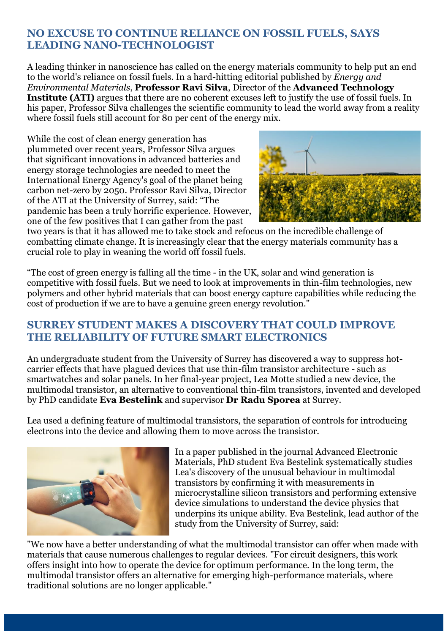# **NO EXCUSE TO CONTINUE RELIANCE ON FOSSIL FUELS, SAYS LEADING NANO-TECHNOLOGIST**

A leading thinker in nanoscience has called on the energy materials community to help put an end to the world's reliance on fossil fuels. In a hard-hitting editorial published by *[Energy and](https://onlinelibrary.wiley.com/doi/10.1002/eem2.12233)  [Environmental Materials](https://onlinelibrary.wiley.com/doi/10.1002/eem2.12233)*, **Professor Ravi Silva**, Director of the **[Advanced Technology](https://www.surrey.ac.uk/advanced-technology-institute)  [Institute \(ATI\)](https://www.surrey.ac.uk/advanced-technology-institute)** argues that there are no coherent excuses left to justify the use of fossil fuels. In his paper, Professor Silva challenges the scientific community to lead the world away from a reality where fossil fuels still account for 80 per cent of the energy mix.

While the cost of clean energy generation has plummeted over recent years, Professor Silva argues that significant innovations in advanced batteries and energy storage technologies are needed to meet the International Energy Agency's goal of the planet being carbon net-zero by 2050. Professor [Ravi Silva,](https://www.surrey.ac.uk/people/s-ravi-p-silva) Director of the ATI at the University of Surrey, said: "The pandemic has been a truly horrific experience. However, one of the few positives that I can gather from the past



two years is that it has allowed me to take stock and refocus on the incredible challenge of combatting climate change. It is increasingly clear that the energy materials community has a crucial role to play in weaning the world off fossil fuels.

"The cost of green energy is falling all the time - in the UK, solar and wind generation is competitive with fossil fuels. But we need to look at improvements in thin-film technologies, new polymers and other hybrid materials that can boost energy capture capabilities while reducing the cost of production if we are to have a genuine green energy revolution."

# **SURREY STUDENT MAKES A DISCOVERY THAT COULD IMPROVE THE RELIABILITY OF FUTURE SMART ELECTRONICS**

An undergraduate student from the University of Surrey has discovered a way to suppress hotcarrier effects that have plagued devices that use thin-film transistor architecture - such as smartwatches and solar panels. In her final-year project, Lea Motte studied a new device, the multimodal transistor, an [alternative to conventional thin-film transistors, invented and developed](https://www.surrey.ac.uk/news/surrey-device-takes-us-closer-high-performing-wearable-and-eco-disposable-ai-electronics)  by PhD candidate **Eva Bestelink** and supervisor **[Dr Radu Sporea](https://www.surrey.ac.uk/news/surrey-device-takes-us-closer-high-performing-wearable-and-eco-disposable-ai-electronics)** at Surrey.

Lea used a defining feature of multimodal transistors, the separation of controls for introducing electrons into the device and allowing them to move across the transistor.



In a paper published in the journal [Advanced Electronic](https://doi.org/10.1002/aelm.202100533)  [Materials,](https://doi.org/10.1002/aelm.202100533) PhD student Eva Bestelink systematically studies Lea's discovery of the unusual behaviour in multimodal transistors by confirming it with measurements in microcrystalline silicon transistors and performing extensive device simulations to understand the device physics that underpins its unique ability. [Eva Bestelink,](https://www.surrey.ac.uk/people/eva-bestelink) lead author of the study from the University of Surrey, said:

"We now have a better understanding of what the multimodal transistor can offer when made with materials that cause numerous challenges to regular devices. "For circuit designers, this work offers insight into how to operate the device for optimum performance. In the long term, the multimodal transistor offers an alternative for emerging high-performance materials, where traditional solutions are no longer applicable."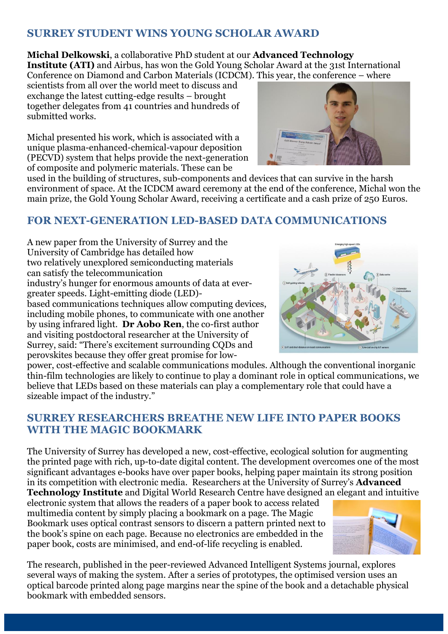# **SURREY STUDENT WINS YOUNG SCHOLAR AWARD**

**Michal Delkowski**, a collaborative PhD student at our **[Advanced Technology](https://www.surrey.ac.uk/advanced-technology-institute)  [Institute](https://www.surrey.ac.uk/advanced-technology-institute) (ATI)** and Airbus, has won the Gold Young Scholar Award at the 31st International [Conference on Diamond and Carbon Materials](https://www.elsevier.com/events/conferences/international-conference-on-diamond-and-carbon-materials) (ICDCM). This year, the conference – where

scientists from all over the world meet to discuss and exchange the latest cutting-edge results – brought together delegates from 41 countries and hundreds of submitted works.

Michal presented his work, which is associated with a unique plasma-enhanced-chemical-vapour deposition (PECVD) system that helps provide the next-generation of composite and polymeric materials. These can be



used in the building of structures, sub-components and devices that can survive in the harsh environment of space. At the ICDCM award ceremony at the end of the conference, Michal won the main prize, the Gold Young Scholar Award, receiving a certificate and a cash prize of 250 Euros.

# **FOR NEXT-GENERATION LED-BASED DATA COMMUNICATIONS**

A new paper from the University of Surrey and the University of Cambridge has detailed how two relatively unexplored semiconducting materials can satisfy the telecommunication industry's hunger for enormous amounts of data at evergreater speeds. Light-emitting diode (LED) based communications techniques allow computing devices, including mobile phones, to communicate with one another by using infrared light. **Dr Aobo Ren**, the co-first author and visiting postdoctoral researcher at the University of Surrey, said: "There's excitement surrounding CQDs and perovskites because they offer great promise for low-



power, cost-effective and scalable communications modules. Although the conventional inorganic thin-film technologies are likely to continue to play a dominant role in optical communications, we believe that LEDs based on these materials can play a complementary role that could have a sizeable impact of the industry."

# **SURREY RESEARCHERS BREATHE NEW LIFE INTO PAPER BOOKS WITH THE MAGIC BOOKMARK**

The University of Surrey has developed a new, cost-effective, ecological solution for augmenting the printed page with rich, up-to-date digital content. The development overcomes one of the most significant advantages e-books have over paper books, helping paper maintain its strong position in its competition with electronic media. Researchers at the University of Surrey's **[Advanced](https://www.surrey.ac.uk/advanced-technology-institute)  [Technology](https://www.surrey.ac.uk/advanced-technology-institute) Institute** and [Digital World Research Centre](https://www.surrey.ac.uk/digital-world-research-centre) have designed an elegant and intuitive

electronic system that allows the readers of a paper book to access related multimedia content by simply placing a bookmark on a page. The Magic Bookmark uses optical contrast sensors to discern a pattern printed next to the book's spine on each page. Because no electronics are embedded in the paper book, costs are minimised, and end-of-life recycling is enabled.



The research, published in the peer-reviewed [Advanced Intelligent Systems](https://onlinelibrary.wiley.com/journal/26404567) journal, explores several ways of making the system. After a series of prototypes, the optimised version uses an optical barcode printed along page margins near the spine of the book and a detachable physical bookmark with embedded sensors.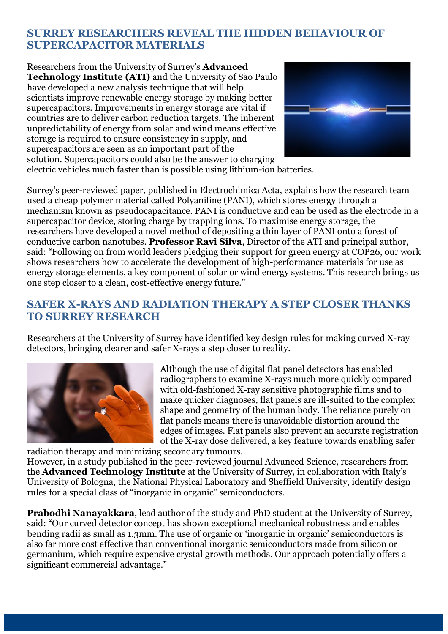# **SURREY RESEARCHERS REVEAL THE HIDDEN BEHAVIOUR OF SUPERCAPACITOR MATERIALS**

Researchers from the University of Surrey's **[Advanced](https://www.surrey.ac.uk/advanced-technology-institute)  [Technology Institute \(ATI\)](https://www.surrey.ac.uk/advanced-technology-institute)** and the University of São Paulo have developed a new analysis technique that will help scientists improve renewable energy storage by making better supercapacitors. Improvements in energy storage are vital if countries are to deliver carbon reduction targets. The inherent unpredictability of energy from solar and wind means effective storage is required to ensure consistency in supply, and supercapacitors are seen as an important part of the solution. Supercapacitors could also be the answer to charging



electric vehicles much faster than is possible using lithium-ion batteries.

Surrey's peer-reviewed paper, published in [Electrochimica Acta,](https://www.sciencedirect.com/science/article/abs/pii/S0013468621017783?via%3Dihub) explains how the research team used a cheap polymer material called Polyaniline (PANI), which stores energy through a mechanism known as pseudocapacitance. PANI is conductive and can be used as the electrode in a supercapacitor device, storing charge by trapping ions. To maximise energy storage, the researchers have developed a novel method of depositing a thin layer of PANI onto a forest of conductive carbon nanotubes. **[Professor Ravi Silva](https://www.surrey.ac.uk/people/s-ravi-p-silva)**, Director of the ATI and principal author, said: "Following on from world leaders pledging their support for green energy at COP26, our work shows researchers how to accelerate the development of high-performance materials for use as energy storage elements, a key component of solar or wind energy systems. This research brings us one step closer to a clean, cost-effective energy future."

# **SAFER X-RAYS AND RADIATION THERAPY A STEP CLOSER THANKS TO SURREY RESEARCH**

Researchers at the University of Surrey have identified key design rules for making curved X-ray detectors, bringing clearer and safer X-rays a step closer to reality.



Although the use of digital flat panel detectors has enabled radiographers to examine X-rays much more quickly compared with old-fashioned X-ray sensitive photographic films and to make quicker diagnoses, flat panels are ill-suited to the complex shape and geometry of the human body. The reliance purely on flat panels means there is unavoidable distortion around the edges of images. Flat panels also prevent an accurate registration of the X-ray dose delivered, a key feature towards enabling safer

radiation therapy and minimizing secondary tumours.

However, in a study published in the peer-reviewed journal [Advanced Science,](https://onlinelibrary.wiley.com/doi/10.1002/advs.202101746) researchers from the **Advanced Technology Institute** at the University of Surrey, in collaboration with Italy's University of Bologna, the National Physical Laboratory and Sheffield University, identify design rules for a special class of "inorganic in organic" semiconductors.

**[Prabodhi Nanayakkara](https://www.surrey.ac.uk/people/maheshani-prabodhi-alwis-nanayakkara)**, lead author of the study and PhD student at the University of Surrey, said: "Our curved detector concept has shown exceptional mechanical robustness and enables bending radii as small as 1.3mm. The use of organic or 'inorganic in organic' semiconductors is also far more cost effective than conventional inorganic semiconductors made from silicon or germanium, which require expensive crystal growth methods. Our approach potentially offers a significant commercial advantage."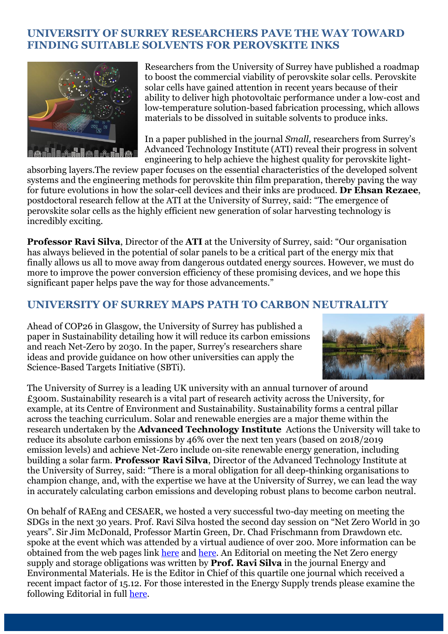### **UNIVERSITY OF SURREY RESEARCHERS PAVE THE WAY TOWARD FINDING SUITABLE SOLVENTS FOR PEROVSKITE INKS**



Researchers from the University of Surrey have published a roadmap to boost the commercial viability of perovskite solar cells. Perovskite solar cells have gained attention in recent years because of their ability to deliver high photovoltaic performance under a low-cost and low-temperature solution-based fabrication processing, which allows materials to be dissolved in suitable solvents to produce inks.

In a paper published in the journal *Small,* researchers from Surrey's Advanced Technology Institute (ATI) reveal their progress in solvent engineering to help achieve the highest quality for perovskite light-

absorbing layers.The review paper focuses on the essential characteristics of the developed solvent systems and the engineering methods for perovskite thin film preparation, thereby paving the way for future evolutions in how the solar-cell devices and their inks are produced. **Dr [Ehsan Rezaee](https://www.surrey.ac.uk/people/ehsan-rezaee)**, postdoctoral research fellow at the ATI at the University of Surrey, said: "The emergence of perovskite solar cells as the highly efficient new generation of solar harvesting technology is incredibly exciting.

**Professor [Ravi Silva](https://www.surrey.ac.uk/people/s-ravi-p-silva)**, Director of the **ATI** at the University of Surrey, said: "Our organisation has always believed in the potential of solar panels to be a critical part of the energy mix that finally allows us all to move away from dangerous outdated energy sources. However, we must do more to improve the power conversion efficiency of these promising devices, and we hope this significant paper helps pave the way for those advancements."

### **UNIVERSITY OF SURREY MAPS PATH TO CARBON NEUTRALITY**

Ahead of COP26 in Glasgow, the University of Surrey has published a paper in [Sustainability](https://www.mdpi.com/2071-1050/13/17/9954) detailing how it will reduce its carbon emissions and reach Net-Zero by 2030. In the paper, Surrey's researchers share ideas and provide guidance on how other universities can apply the Science-Based Targets Initiative (SBTi).



The University of Surrey is a leading UK university with an annual turnover of around £300m. [Sustainability](https://www.surrey.ac.uk/sustainability) research is a vital part of research activity across the University, for example, at its [Centre of Environment and Sustainability.](https://www.surrey.ac.uk/centre-environment-sustainability/research) Sustainability forms a central pillar across the teaching curriculum. [Solar and renewable energies](https://www.surrey.ac.uk/postgraduate/nanotechnology-and-renewable-energy-msc) are a major theme within the research undertaken by the **[Advanced Technology Institute](https://www.surrey.ac.uk/advanced-technology-institute)** Actions the University will take to reduce its absolute carbon emissions by 46% over the next ten years (based on 2018/2019 emission levels) and achieve Net-Zero include on-site renewable energy generation, including building a solar farm. **Professor Ravi Silva**, Director of the Advanced Technology Institute at the University of Surrey, said: "There is a moral obligation for all deep-thinking organisations to champion change, and, with the expertise we have at the University of Surrey, we can lead the way in accurately calculating carbon emissions and developing robust plans to become carbon neutral.

On behalf of RAEng and CESAER, we hosted a very successful two-day meeting on meeting the SDGs in the next 30 years. Prof. Ravi Silva hosted the second day session on "Net Zero World in 30 years". Sir Jim McDonald, Professor Martin Green, Dr. Chad Frischmann from Drawdown etc. spoke at the event which was attended by a virtual audience of over 200. More information can be obtained from the web pages link [here](https://eur02.safelinks.protection.outlook.com/?url=https%3A%2F%2Fwww.cesaer.org%2Fnews%2Fkey-technologies-shaping-the-future-949%2F&data=04%7C01%7Cn.steward%40surrey.ac.uk%7C50ed969d27794e9adca308d9479de62e%7C6b902693107440aa9e21d89446a2ebb5%7C0%7C0%7C637619565762354346%7CUnknown%7CTWFpbGZsb3d8eyJWIjoiMC4wLjAwMDAiLCJQIjoiV2luMzIiLCJBTiI6Ik1haWwiLCJXVCI6Mn0%3D%7C1000&sdata=m%2BwuG0HU7K7XoUa3HKqLaIgUn8YF1CoxViuYDoNM%2BCU%3D&reserved=0) and [here.](https://www.youtube.com/watch?v=ffEPkkZzYjM&t=1368s) An Editorial on meeting the Net Zero energy supply and storage obligations was written by **Prof. Ravi Silva** in the journal Energy and Environmental Materials. He is the Editor in Chief of this quartile one journal which received a recent impact factor of 15.12. For those interested in the Energy Supply trends please examine the following Editorial in full [here.](https://onlinelibrary.wiley.com/doi/abs/10.1002/eem2.12233)